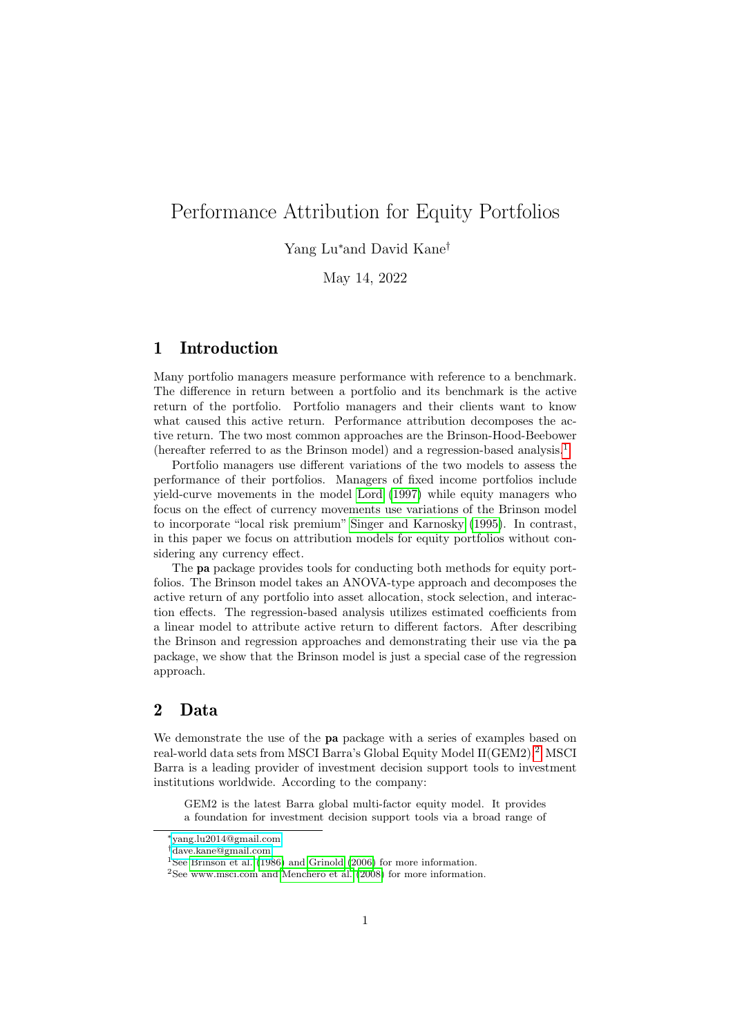# Performance Attribution for Equity Portfolios

## Yang Lu<sup>∗</sup>and David Kane†

May 14, 2022

## 1 Introduction

Many portfolio managers measure performance with reference to a benchmark. The difference in return between a portfolio and its benchmark is the active return of the portfolio. Portfolio managers and their clients want to know what caused this active return. Performance attribution decomposes the active return. The two most common approaches are the Brinson-Hood-Beebower (hereafter referred to as the Brinson model) and a regression-based analysis.[1](#page-0-0)

Portfolio managers use different variations of the two models to assess the performance of their portfolios. Managers of fixed income portfolios include yield-curve movements in the model [Lord](#page-21-0) [\(1997\)](#page-21-0) while equity managers who focus on the effect of currency movements use variations of the Brinson model to incorporate "local risk premium" [Singer and Karnosky](#page-21-1) [\(1995\)](#page-21-1). In contrast, in this paper we focus on attribution models for equity portfolios without considering any currency effect.

The pa package provides tools for conducting both methods for equity portfolios. The Brinson model takes an ANOVA-type approach and decomposes the active return of any portfolio into asset allocation, stock selection, and interaction effects. The regression-based analysis utilizes estimated coefficients from a linear model to attribute active return to different factors. After describing the Brinson and regression approaches and demonstrating their use via the pa package, we show that the Brinson model is just a special case of the regression approach.

## 2 Data

We demonstrate the use of the **pa** package with a series of examples based on real-world data sets from MSCI Barra's Global Equity Model II(GEM[2](#page-0-1)).<sup>2</sup> MSCI Barra is a leading provider of investment decision support tools to investment institutions worldwide. According to the company:

GEM2 is the latest Barra global multi-factor equity model. It provides a foundation for investment decision support tools via a broad range of

<sup>∗</sup>[yang.lu2014@gmail.com](mailto:yang.lu2014@gmail.com)

<sup>†</sup>[dave.kane@gmail.com](mailto:dave.kane@gmail.com)

<span id="page-0-0"></span><sup>&</sup>lt;sup>1</sup>See [Brinson et al.](#page-21-2) [\(1986\)](#page-21-2) and [Grinold](#page-21-3) [\(2006\)](#page-21-3) for more information.

<span id="page-0-1"></span><sup>2</sup>See www.msci.com and [Menchero et al.](#page-21-4) [\(2008\)](#page-21-4) for more information.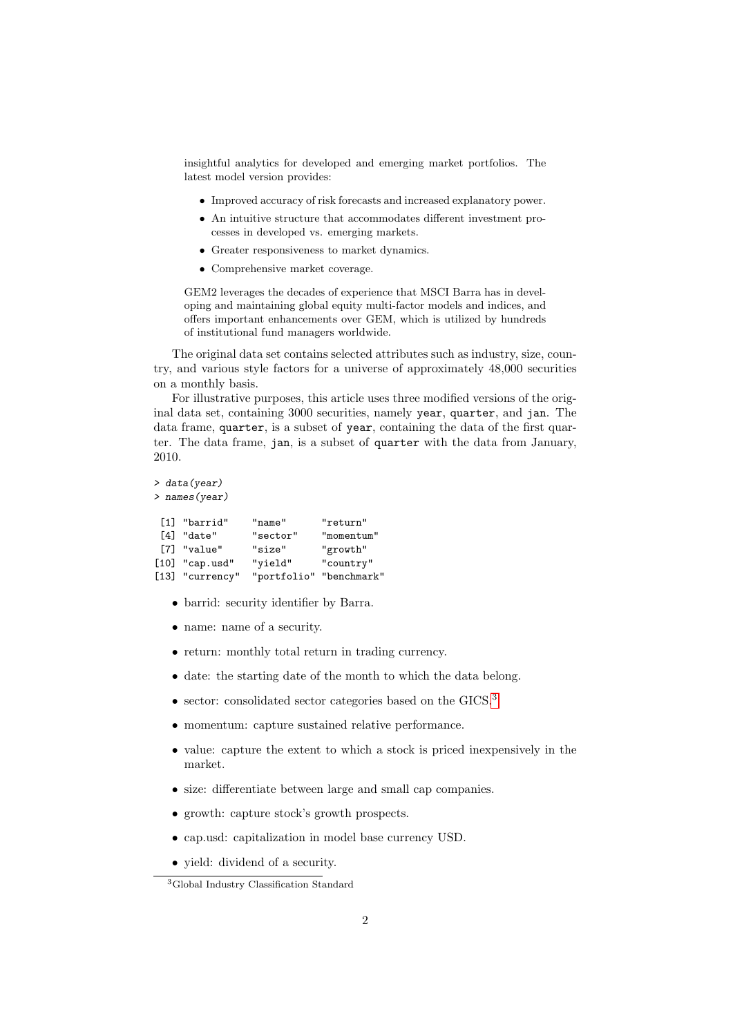insightful analytics for developed and emerging market portfolios. The latest model version provides:

- Improved accuracy of risk forecasts and increased explanatory power.
- An intuitive structure that accommodates different investment processes in developed vs. emerging markets.
- Greater responsiveness to market dynamics.
- Comprehensive market coverage.

GEM2 leverages the decades of experience that MSCI Barra has in developing and maintaining global equity multi-factor models and indices, and offers important enhancements over GEM, which is utilized by hundreds of institutional fund managers worldwide.

The original data set contains selected attributes such as industry, size, country, and various style factors for a universe of approximately 48,000 securities on a monthly basis.

For illustrative purposes, this article uses three modified versions of the original data set, containing 3000 securities, namely year, quarter, and jan. The data frame, quarter, is a subset of year, containing the data of the first quarter. The data frame, jan, is a subset of quarter with the data from January, 2010.

```
> data(year)
> names(year)
[1] "barrid" "name" "return"
[4] "date" "sector" "momentum"
[7] "value" "size" "growth"
[10] "cap.usd" "yield" "country"
```
• barrid: security identifier by Barra.

[13] "currency" "portfolio" "benchmark"

- name: name of a security.
- return: monthly total return in trading currency.
- date: the starting date of the month to which the data belong.
- sector: consolidated sector categories based on the GICS.<sup>[3](#page-1-0)</sup>
- momentum: capture sustained relative performance.
- value: capture the extent to which a stock is priced inexpensively in the market.
- size: differentiate between large and small cap companies.
- growth: capture stock's growth prospects.
- cap.usd: capitalization in model base currency USD.
- yield: dividend of a security.

<span id="page-1-0"></span><sup>3</sup>Global Industry Classification Standard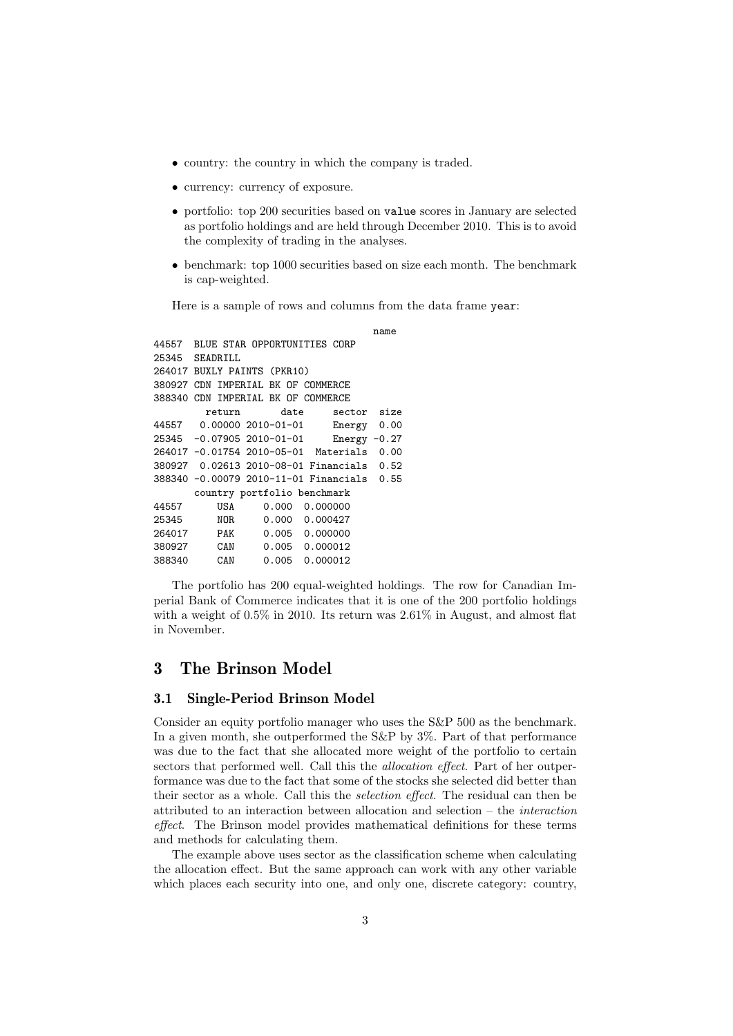- country: the country in which the company is traded.
- currency: currency of exposure.
- portfolio: top 200 securities based on value scores in January are selected as portfolio holdings and are held through December 2010. This is to avoid the complexity of trading in the analyses.
- benchmark: top 1000 securities based on size each month. The benchmark is cap-weighted.

Here is a sample of rows and columns from the data frame year:

```
name
44557 BLUE STAR OPPORTUNITIES CORP
25345 SEADRILL
264017 BUXLY PAINTS (PKR10)
380927 CDN IMPERIAL BK OF COMMERCE
388340 CDN IMPERIAL BK OF COMMERCE
        return date sector size<br>0.00000 2010-01-01 Energy 0.00
44557  0.00000  2010-01-01
25345 -0.07905 2010-01-01 Energy -0.27
264017 -0.01754 2010-05-01 Materials 0.00
380927 0.02613 2010-08-01 Financials 0.52
388340 -0.00079 2010-11-01 Financials 0.55
      country portfolio benchmark
44557 USA 0.000 0.000000
25345 NOR 0.000 0.000427
264017 PAK 0.005 0.000000
                         0.000012
388340 CAN 0.005 0.000012
```
The portfolio has 200 equal-weighted holdings. The row for Canadian Imperial Bank of Commerce indicates that it is one of the 200 portfolio holdings with a weight of  $0.5\%$  in 2010. Its return was  $2.61\%$  in August, and almost flat in November.

## 3 The Brinson Model

## 3.1 Single-Period Brinson Model

Consider an equity portfolio manager who uses the S&P 500 as the benchmark. In a given month, she outperformed the S&P by 3%. Part of that performance was due to the fact that she allocated more weight of the portfolio to certain sectors that performed well. Call this the *allocation effect*. Part of her outperformance was due to the fact that some of the stocks she selected did better than their sector as a whole. Call this the selection effect. The residual can then be attributed to an interaction between allocation and selection – the interaction effect. The Brinson model provides mathematical definitions for these terms and methods for calculating them.

The example above uses sector as the classification scheme when calculating the allocation effect. But the same approach can work with any other variable which places each security into one, and only one, discrete category: country,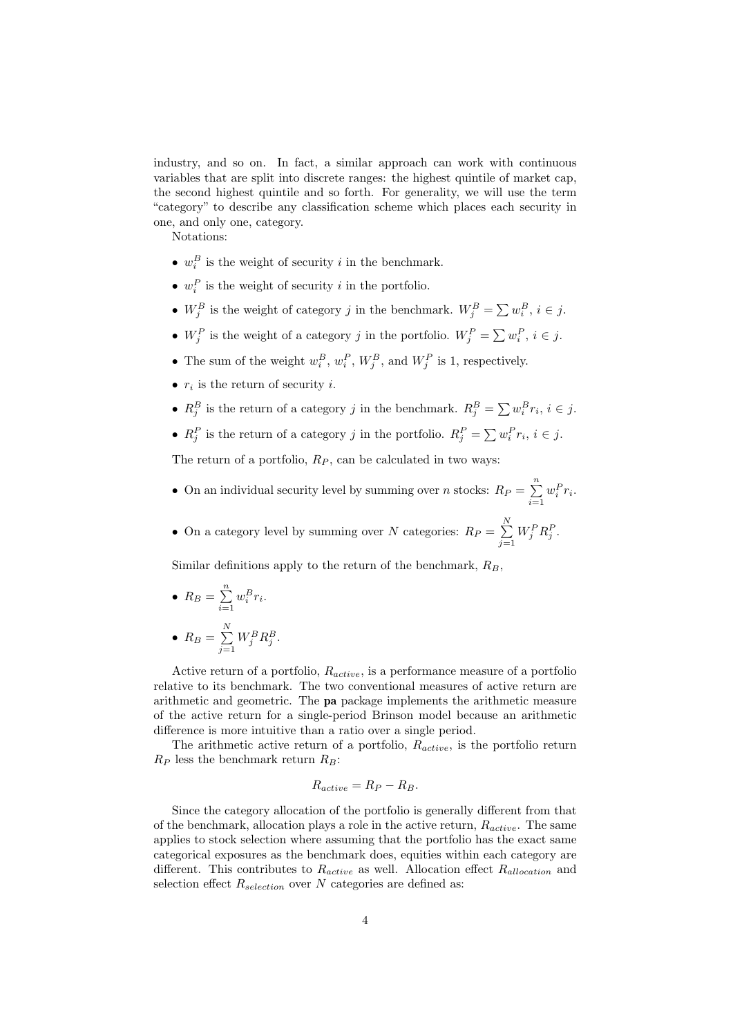industry, and so on. In fact, a similar approach can work with continuous variables that are split into discrete ranges: the highest quintile of market cap, the second highest quintile and so forth. For generality, we will use the term "category" to describe any classification scheme which places each security in one, and only one, category.

Notations:

- $w_i^B$  is the weight of security *i* in the benchmark.
- $w_i^P$  is the weight of security *i* in the portfolio.
- $W_j^B$  is the weight of category j in the benchmark.  $W_j^B = \sum w_i^B$ ,  $i \in j$ .
- $W_j^P$  is the weight of a category j in the portfolio.  $W_j^P = \sum w_i^P, i \in j$ .
- The sum of the weight  $w_i^B$ ,  $w_i^P$ ,  $W_j^B$ , and  $W_j^P$  is 1, respectively.
- $r_i$  is the return of security *i*.
- $R_j^B$  is the return of a category j in the benchmark.  $R_j^B = \sum w_i^B r_i, i \in j$ .
- $R_j^P$  is the return of a category j in the portfolio.  $R_j^P = \sum w_i^P r_i, i \in j$ .

The return of a portfolio,  $R_P$ , can be calculated in two ways:

- On an individual security level by summing over *n* stocks:  $R_P = \sum_{n=1}^{n} R_P$  $i=1$  $w_i^P r_i$ .
- On a category level by summing over N categories:  $R_P = \sum_{n=1}^{N}$  $j=1$  $W_j^P R_j^P$ .

Similar definitions apply to the return of the benchmark,  $R_B$ ,

- $R_B = \sum^n$  $i=1$  $w_i^B r_i$ . •  $R_B = \sum_{n=1}^{N}$  $W_j^B R_j^B$ .
- $j=1$

Active return of a portfolio,  $R_{active}$ , is a performance measure of a portfolio relative to its benchmark. The two conventional measures of active return are arithmetic and geometric. The pa package implements the arithmetic measure of the active return for a single-period Brinson model because an arithmetic difference is more intuitive than a ratio over a single period.

The arithmetic active return of a portfolio,  $R_{active}$ , is the portfolio return  $R_P$  less the benchmark return  $R_B$ :

$$
R_{active} = R_P - R_B.
$$

Since the category allocation of the portfolio is generally different from that of the benchmark, allocation plays a role in the active return,  $R_{active}$ . The same applies to stock selection where assuming that the portfolio has the exact same categorical exposures as the benchmark does, equities within each category are different. This contributes to  $R_{active}$  as well. Allocation effect  $R_{allocation}$  and selection effect  $R_{selection}$  over N categories are defined as: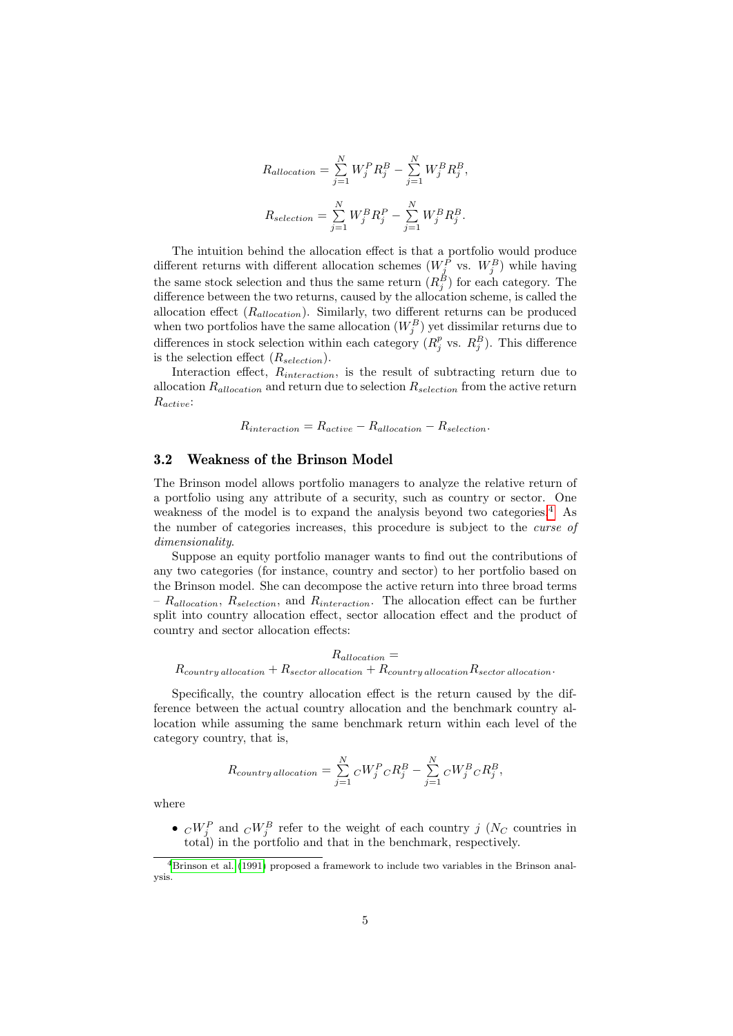$$
R_{allocation} = \sum_{j=1}^{N} W_j^P R_j^B - \sum_{j=1}^{N} W_j^B R_j^B,
$$
  

$$
R_{selection} = \sum_{j=1}^{N} W_j^B R_j^P - \sum_{j=1}^{N} W_j^B R_j^B.
$$

The intuition behind the allocation effect is that a portfolio would produce different returns with different allocation schemes  $(W_j^P$  vs.  $W_j^B)$  while having the same stock selection and thus the same return  $(R_j^B)$  for each category. The difference between the two returns, caused by the allocation scheme, is called the allocation effect  $(R_{allocation})$ . Similarly, two different returns can be produced when two portfolios have the same allocation  $(W_j^B)$  yet dissimilar returns due to differences in stock selection within each category  $(R_j^p$  vs.  $R_j^B)$ . This difference is the selection effect  $(R_{selection})$ .

Interaction effect, Rinteraction, is the result of subtracting return due to allocation  $R_{\text{allocation}}$  and return due to selection  $R_{\text{selection}}$  from the active return Ractive:

 $R_{interaction} = R_{active} - R_{allocation} - R_{selection}.$ 

### 3.2 Weakness of the Brinson Model

The Brinson model allows portfolio managers to analyze the relative return of a portfolio using any attribute of a security, such as country or sector. One weakness of the model is to expand the analysis beyond two categories.<sup>[4](#page-4-0)</sup> As the number of categories increases, this procedure is subject to the curse of dimensionality.

Suppose an equity portfolio manager wants to find out the contributions of any two categories (for instance, country and sector) to her portfolio based on the Brinson model. She can decompose the active return into three broad terms –  $R_{allocation}$ ,  $R_{selection}$ , and  $R_{interaction}$ . The allocation effect can be further split into country allocation effect, sector allocation effect and the product of country and sector allocation effects:

 $R_{allowation} =$  $R_{country\ allocation} + R_{sector\ allocation} + R_{country\ allocation}$ 

Specifically, the country allocation effect is the return caused by the difference between the actual country allocation and the benchmark country allocation while assuming the same benchmark return within each level of the category country, that is,

$$
R_{country\, allocation} = \sum_{j=1}^{N} {}_{C}W_{j}^{P} {}_{C}R_{j}^{B} - \sum_{j=1}^{N} {}_{C}W_{j}^{B} {}_{C}R_{j}^{B},
$$

where

•  $\epsilon_i^{\dagger} C_{ij}^{W}$  and  $\epsilon_i^{\dagger} C_{ij}^{W}$  refer to the weight of each country j (N<sub>C</sub> countries in total) in the portfolio and that in the benchmark, respectively.

<span id="page-4-0"></span><sup>4</sup>[Brinson et al.](#page-21-5) [\(1991\)](#page-21-5) proposed a framework to include two variables in the Brinson analysis.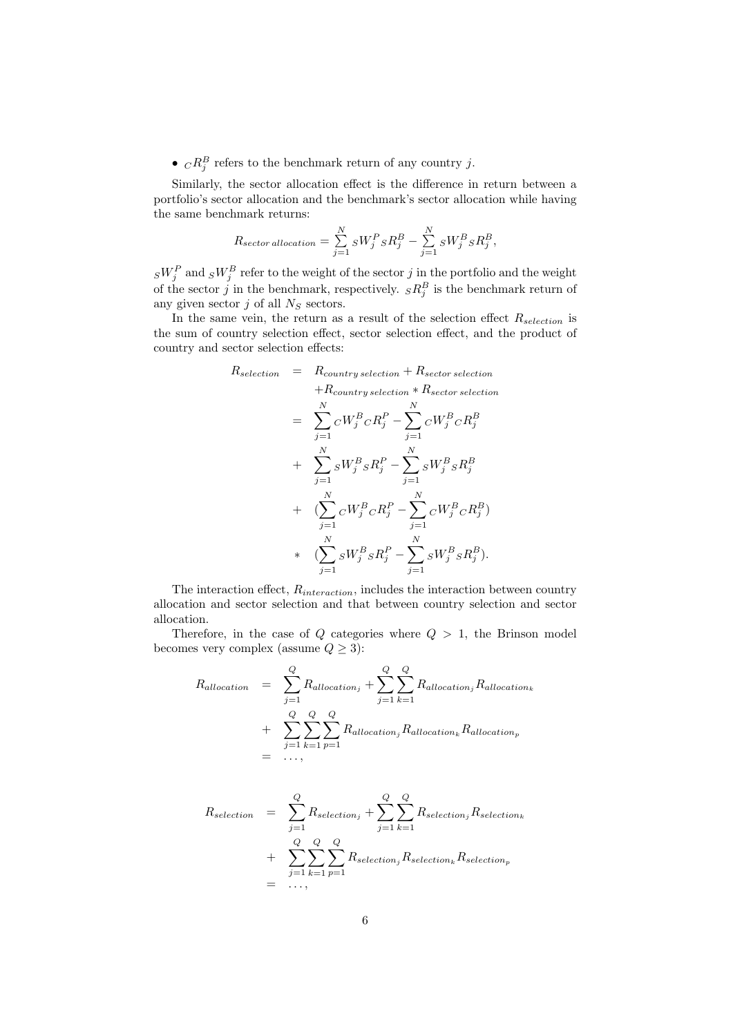•  ${}_{C}R_j^B$  refers to the benchmark return of any country j.

Similarly, the sector allocation effect is the difference in return between a portfolio's sector allocation and the benchmark's sector allocation while having the same benchmark returns:

$$
R_{sector\, allocation} = \sum_{j=1}^{N} {}_S W_j^P{}_S R_j^B - \sum_{j=1}^{N} {}_S W_j^B{}_S R_j^B,
$$

 ${}_SW_j^P$  and  ${}_SW_j^B$  refer to the weight of the sector j in the portfolio and the weight of the sector j in the benchmark, respectively.  $sR_j^B$  is the benchmark return of any given sector  $j$  of all  $N_S$  sectors.

In the same vein, the return as a result of the selection effect  $R_{selection}$  is the sum of country selection effect, sector selection effect, and the product of country and sector selection effects:

$$
R_{selection} = R_{conntry\,selection} + R_{sector\,selection}
$$
  
\n
$$
+ R_{conntry\,selection} * R_{sector\,selection}
$$
  
\n
$$
= \sum_{j=1}^{N} {}_{C}W_{j}^{B} {}_{C}R_{j}^{P} - \sum_{j=1}^{N} {}_{C}W_{j}^{B} {}_{C}R_{j}^{B}
$$
  
\n
$$
+ \sum_{j=1}^{N} {}_{S}W_{j}^{B} {}_{S}R_{j}^{P} - \sum_{j=1}^{N} {}_{S}W_{j}^{B} {}_{S}R_{j}^{B}
$$
  
\n
$$
+ \left(\sum_{j=1}^{N} {}_{C}W_{j}^{B} {}_{C}R_{j}^{P} - \sum_{j=1}^{N} {}_{C}W_{j}^{B} {}_{C}R_{j}^{B}\right)
$$
  
\n
$$
* \left(\sum_{j=1}^{N} {}_{S}W_{j}^{B} {}_{S}R_{j}^{P} - \sum_{j=1}^{N} {}_{S}W_{j}^{B} {}_{S}R_{j}^{B}\right).
$$

The interaction effect,  $R_{interaction}$ , includes the interaction between country allocation and sector selection and that between country selection and sector allocation.

Therefore, in the case of  $Q$  categories where  $Q > 1$ , the Brinson model becomes very complex (assume  $Q \geq 3$ ):

$$
R_{allocation} = \sum_{j=1}^{Q} R_{allocation_j} + \sum_{j=1}^{Q} \sum_{k=1}^{Q} R_{allocation_j} R_{allocation_k}
$$

$$
+ \sum_{j=1}^{Q} \sum_{k=1}^{Q} \sum_{p=1}^{Q} R_{allocation_j} R_{allocation_k} R_{allocation_p}
$$

$$
= \dots,
$$

$$
R_{selection} = \sum_{j=1}^{Q} R_{selection_j} + \sum_{j=1}^{Q} \sum_{k=1}^{Q} R_{selection_j} R_{selection_k}
$$

$$
+ \sum_{j=1}^{Q} \sum_{k=1}^{Q} \sum_{p=1}^{Q} R_{selection_j} R_{selection_k} R_{selection_p}
$$

$$
= ...,
$$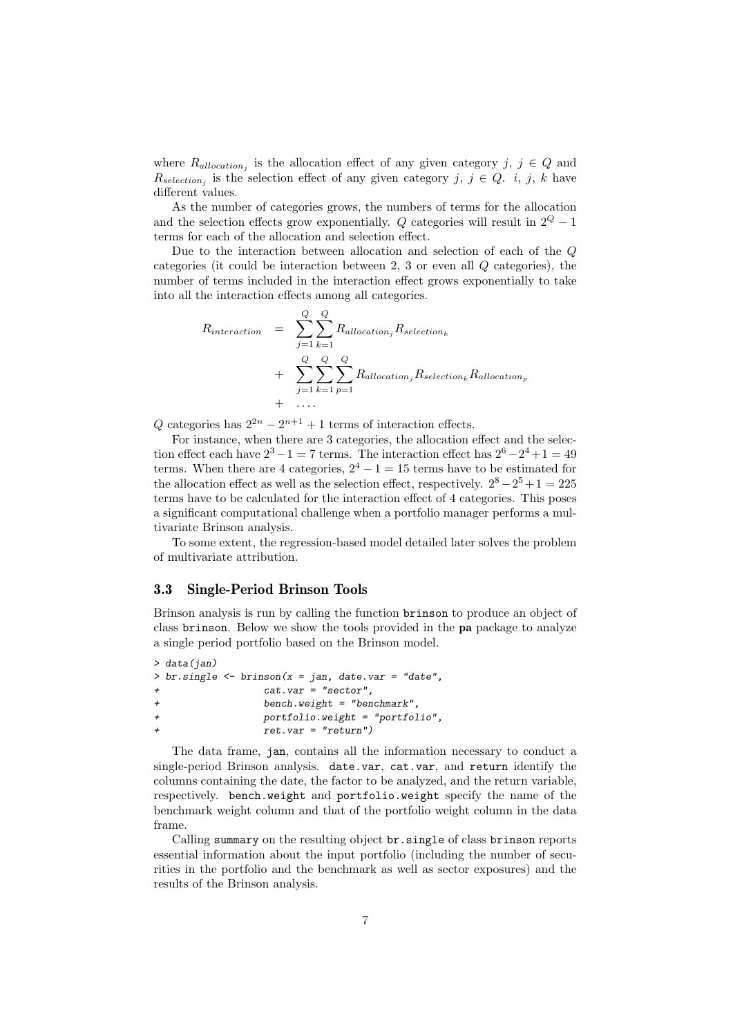where  $R_{allocation_j}$  is the allocation effect of any given category j,  $j \in Q$  and  $R_{selection_j}$  is the selection effect of any given category j,  $j \in Q$ . i, j, k have different values.

As the number of categories grows, the numbers of terms for the allocation and the selection effects grow exponentially. Q categories will result in  $2^Q - 1$ terms for each of the allocation and selection effect.

Due to the interaction between allocation and selection of each of the Q categories (it could be interaction between 2, 3 or even all Q categories), the number of terms included in the interaction effect grows exponentially to take into all the interaction effects among all categories.

$$
R_{interaction} = \sum_{j=1}^{Q} \sum_{k=1}^{Q} R_{allocation_j} R_{selection_k}
$$
  
+ 
$$
\sum_{j=1}^{Q} \sum_{k=1}^{Q} \sum_{p=1}^{Q} R_{allocation_j} R_{selection_k} R_{allocation_p}
$$
  
+ ...

Q categories has  $2^{2n} - 2^{n+1} + 1$  terms of interaction effects.

For instance, when there are 3 categories, the allocation effect and the selection effect each have  $2^3 - 1 = 7$  terms. The interaction effect has  $2^6 - 2^4 + 1 = 49$ terms. When there are 4 categories,  $2^4 - 1 = 15$  terms have to be estimated for the allocation effect as well as the selection effect, respectively.  $2^8 - 2^5 + 1 = 225$ terms have to be calculated for the interaction effect of 4 categories. This poses a significant computational challenge when a portfolio manager performs a multivariate Brinson analysis.

To some extent, the regression-based model detailed later solves the problem of multivariate attribution.

## 3.3 Single-Period Brinson Tools

Brinson analysis is run by calling the function brinson to produce an object of class brinson. Below we show the tools provided in the pa package to analyze a single period portfolio based on the Brinson model.

```
> data(jan)
> br \simeq br \simeq - br \simeq (x = jan, date \rightharpoonup - 'date',cat.var = "sector",+ bench.weight = "benchmark",
+ portfolio.weight = "portfolio",
                 ret.var = "return")
```
The data frame, jan, contains all the information necessary to conduct a single-period Brinson analysis. date.var, cat.var, and return identify the columns containing the date, the factor to be analyzed, and the return variable, respectively. bench.weight and portfolio.weight specify the name of the benchmark weight column and that of the portfolio weight column in the data frame.

Calling summary on the resulting object br.single of class brinson reports essential information about the input portfolio (including the number of securities in the portfolio and the benchmark as well as sector exposures) and the results of the Brinson analysis.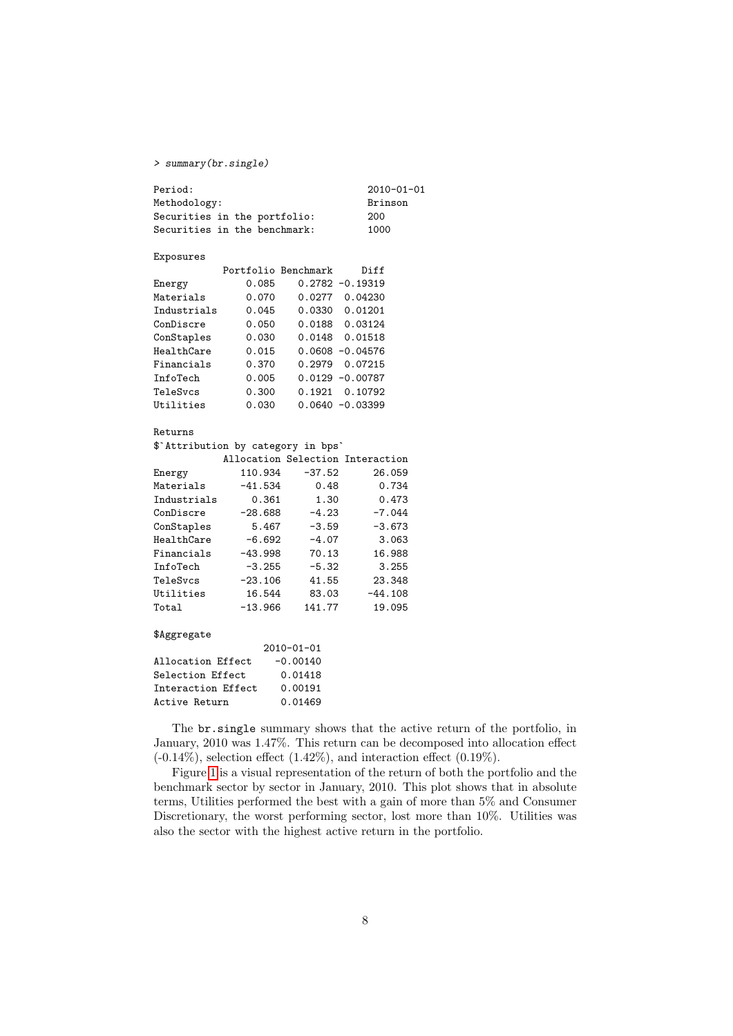### > summary(br.single)

| Period:                            |  |           |            |                     |                                  | 2010-01-01 |
|------------------------------------|--|-----------|------------|---------------------|----------------------------------|------------|
| Methodology:                       |  |           |            |                     |                                  | Brinson    |
| Securities in the portfolio:       |  |           |            |                     |                                  | 200        |
| Securities in the benchmark:       |  |           |            |                     |                                  | 1000       |
| Exposures                          |  |           |            |                     |                                  |            |
|                                    |  |           |            | Portfolio Benchmark | Diff                             |            |
| Energy                             |  | 0.085     |            |                     | $0.2782 - 0.19319$               |            |
| Materials                          |  | 0.070     |            |                     | 0.0277 0.04230                   |            |
| Industrials                        |  | 0.045     |            |                     | 0.0330 0.01201                   |            |
| ConDiscre                          |  | 0.050     |            |                     | 0.0188 0.03124                   |            |
| ConStaples                         |  | 0.030     |            |                     | 0.0148 0.01518                   |            |
| HealthCare                         |  | 0.015     |            |                     | $0.0608 - 0.04576$               |            |
| Financials                         |  | 0.370     |            |                     | 0.2979 0.07215                   |            |
| InfoTech                           |  | 0.005     |            |                     | $0.0129 - 0.00787$               |            |
| TeleSvcs                           |  | 0.300     |            |                     | 0.1921 0.10792                   |            |
| Utilities                          |  | 0.030     |            |                     | $0.0640 - 0.03399$               |            |
| Returns                            |  |           |            |                     |                                  |            |
| \$'Attribution by category in bps' |  |           |            |                     |                                  |            |
|                                    |  |           |            |                     | Allocation Selection Interaction |            |
| Energy                             |  | 110.934   |            | $-37.52$            |                                  | 26.059     |
| Materials                          |  | -41.534   |            | 0.48                |                                  | 0.734      |
| Industrials                        |  | 0.361     |            | 1.30                |                                  | 0.473      |
| ConDiscre                          |  | $-28.688$ |            | $-4.23$             |                                  | $-7.044$   |
| ConStaples                         |  | 5.467     |            | $-3.59$             |                                  | $-3.673$   |
| HealthCare                         |  | $-6.692$  |            | $-4.07$             |                                  | 3.063      |
| Financials                         |  | -43.998   |            | 70.13               |                                  | 16.988     |
| InfoTech                           |  | -3.255    |            | $-5.32$             |                                  | 3.255      |
| TeleSvcs                           |  | $-23.106$ |            | 41.55               |                                  | 23.348     |
| Utilities                          |  | 16.544    |            | 83.03               |                                  | $-44.108$  |
| Total                              |  | -13.966   |            | 141.77              |                                  | 19.095     |
| \$Aggregate                        |  |           |            |                     |                                  |            |
|                                    |  |           | 2010-01-01 |                     |                                  |            |
| Allocation Effect                  |  |           | $-0.00140$ |                     |                                  |            |
| Selection Effect                   |  |           | 0.01418    |                     |                                  |            |
| Interaction Effect                 |  |           | 0.00191    |                     |                                  |            |
| Active Return                      |  |           | 0.01469    |                     |                                  |            |

The br.single summary shows that the active return of the portfolio, in January, 2010 was 1.47%. This return can be decomposed into allocation effect  $(-0.14\%)$ , selection effect  $(1.42\%)$ , and interaction effect  $(0.19\%)$ .

Figure [1](#page-8-0) is a visual representation of the return of both the portfolio and the benchmark sector by sector in January, 2010. This plot shows that in absolute terms, Utilities performed the best with a gain of more than 5% and Consumer Discretionary, the worst performing sector, lost more than 10%. Utilities was also the sector with the highest active return in the portfolio.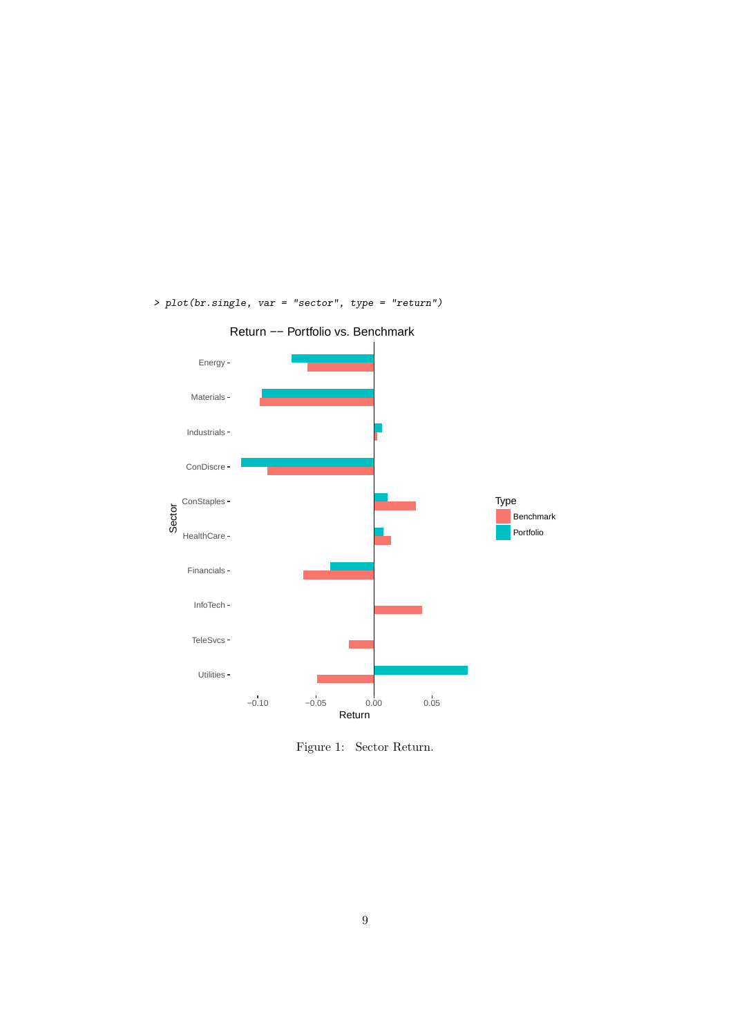

> plot(br.single, var = "sector", type = "return")

<span id="page-8-0"></span>Figure 1: Sector Return.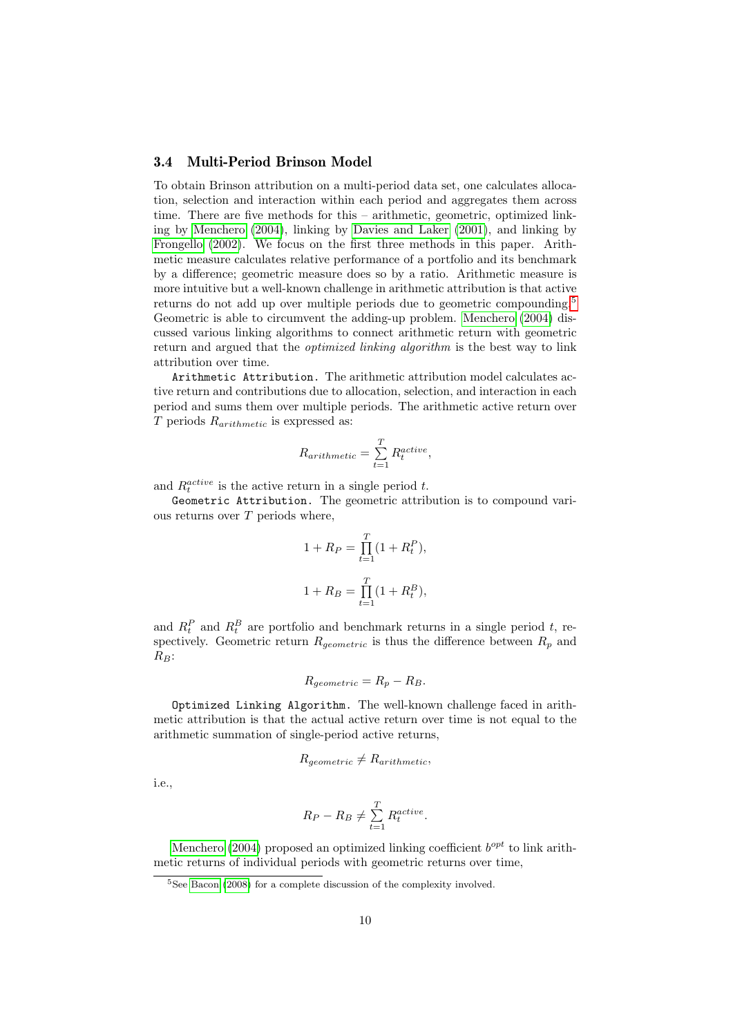### 3.4 Multi-Period Brinson Model

To obtain Brinson attribution on a multi-period data set, one calculates allocation, selection and interaction within each period and aggregates them across time. There are five methods for this – arithmetic, geometric, optimized linking by [Menchero](#page-21-6) [\(2004\)](#page-21-6), linking by [Davies and Laker](#page-21-7) [\(2001\)](#page-21-7), and linking by [Frongello](#page-21-8) [\(2002\)](#page-21-8). We focus on the first three methods in this paper. Arithmetic measure calculates relative performance of a portfolio and its benchmark by a difference; geometric measure does so by a ratio. Arithmetic measure is more intuitive but a well-known challenge in arithmetic attribution is that active returns do not add up over multiple periods due to geometric compounding.<sup>[5](#page-9-0)</sup> Geometric is able to circumvent the adding-up problem. [Menchero](#page-21-6) [\(2004\)](#page-21-6) discussed various linking algorithms to connect arithmetic return with geometric return and argued that the *optimized linking algorithm* is the best way to link attribution over time.

Arithmetic Attribution. The arithmetic attribution model calculates active return and contributions due to allocation, selection, and interaction in each period and sums them over multiple periods. The arithmetic active return over  $T$  periods  $R_{arithmetic}$  is expressed as:

$$
R_{arithmetic} = \sum_{t=1}^{T} R_t^{active},
$$

and  $R_t^{active}$  is the active return in a single period t.

Geometric Attribution. The geometric attribution is to compound various returns over  $T$  periods where,

$$
1 + R_P = \prod_{t=1}^{T} (1 + R_t^P),
$$
  

$$
1 + R_B = \prod_{t=1}^{T} (1 + R_t^B),
$$

and  $R_t^P$  and  $R_t^B$  are portfolio and benchmark returns in a single period t, respectively. Geometric return  $R_{geometric}$  is thus the difference between  $R_p$  and  $R_B$ :

$$
R_{geometric} = R_p - R_B.
$$

Optimized Linking Algorithm. The well-known challenge faced in arithmetic attribution is that the actual active return over time is not equal to the arithmetic summation of single-period active returns,

$$
R_{geometric} \neq R_{arithmetic},
$$

i.e.,

$$
R_P - R_B \neq \sum_{t=1}^{T} R_t^{active}.
$$

[Menchero](#page-21-6) [\(2004\)](#page-21-6) proposed an optimized linking coefficient  $b^{opt}$  to link arithmetic returns of individual periods with geometric returns over time,

<span id="page-9-0"></span><sup>&</sup>lt;sup>5</sup>See [Bacon](#page-21-9) [\(2008\)](#page-21-9) for a complete discussion of the complexity involved.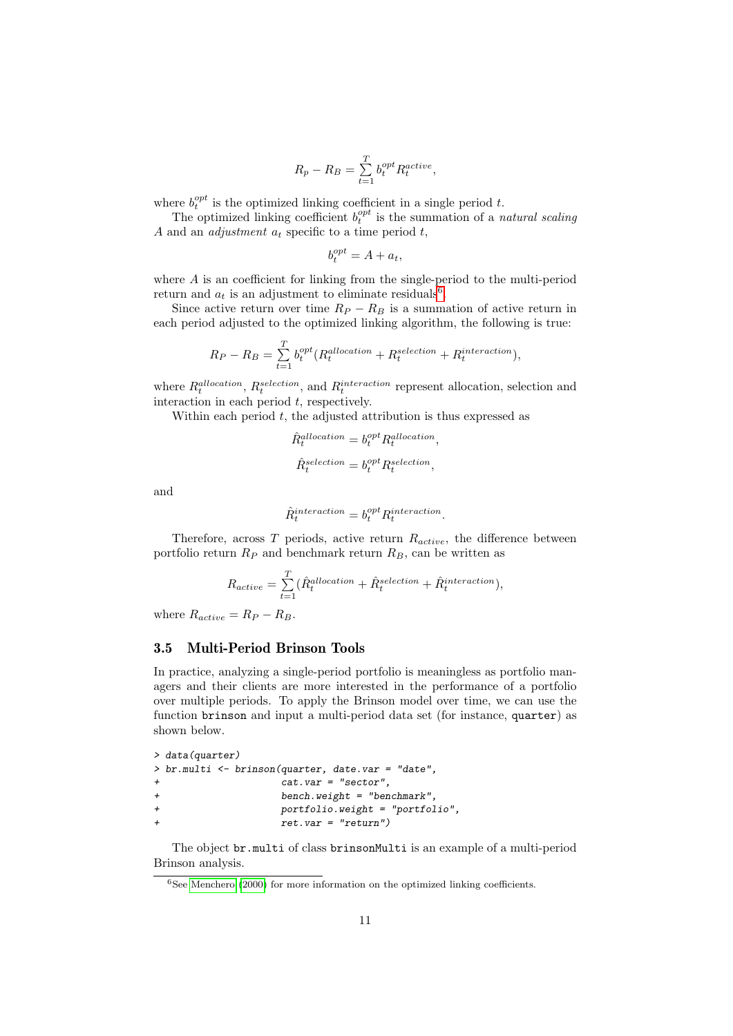$$
R_p - R_B = \sum_{t=1}^{T} b_t^{opt} R_t^{active},
$$

where  $b_t^{opt}$  is the optimized linking coefficient in a single period t.

The optimized linking coefficient  $b_t^{opt}$  is the summation of a *natural scaling* A and an *adjustment*  $a_t$  specific to a time period  $t$ ,

$$
b_t^{opt} = A + a_t,
$$

where A is an coefficient for linking from the single-period to the multi-period return and  $a_t$  is an adjustment to eliminate residuals<sup>[6](#page-10-0)</sup>.

Since active return over time  $R_P - R_B$  is a summation of active return in each period adjusted to the optimized linking algorithm, the following is true:

$$
R_P - R_B = \sum_{t=1}^{T} b_t^{opt} (R_t^{allocation} + R_t^{selection} + R_t^{interaction}),
$$

where  $R_t^{allocation}$ ,  $R_t^{selection}$ , and  $R_t^{interaction}$  represent allocation, selection and interaction in each period  $t$ , respectively.

Within each period  $t$ , the adjusted attribution is thus expressed as

$$
\hat{R}_t^{allocation} = b_t^{opt} R_t^{allocation},
$$
  

$$
\hat{R}_t^{selection} = b_t^{opt} R_t^{selection},
$$

and

$$
\hat{R}^{interaction}_{t}=b^{opt}_{t}R^{interaction}_{t}.
$$

Therefore, across  $T$  periods, active return  $R_{active}$ , the difference between portfolio return  $R_P$  and benchmark return  $R_B$ , can be written as

$$
R_{active} = \sum_{t=1}^{T} (\hat{R}_t^{allocation} + \hat{R}_t^{selection} + \hat{R}_t^{interaction}),
$$

where  $R_{active} = R_P - R_B$ .

### 3.5 Multi-Period Brinson Tools

In practice, analyzing a single-period portfolio is meaningless as portfolio managers and their clients are more interested in the performance of a portfolio over multiple periods. To apply the Brinson model over time, we can use the function brinson and input a multi-period data set (for instance, quarter) as shown below.

```
> data(quarter)
> br.multi <- brinson(quarter, date.var = "date",
                 cat.var = "sector",+ bench.weight = "benchmark",
+ portfolio.weight = "portfolio",
                 ret. var = "return")
```
The object br.multi of class brinsonMulti is an example of a multi-period Brinson analysis.

<span id="page-10-0"></span> $6$ See [Menchero](#page-21-10) [\(2000\)](#page-21-10) for more information on the optimized linking coefficients.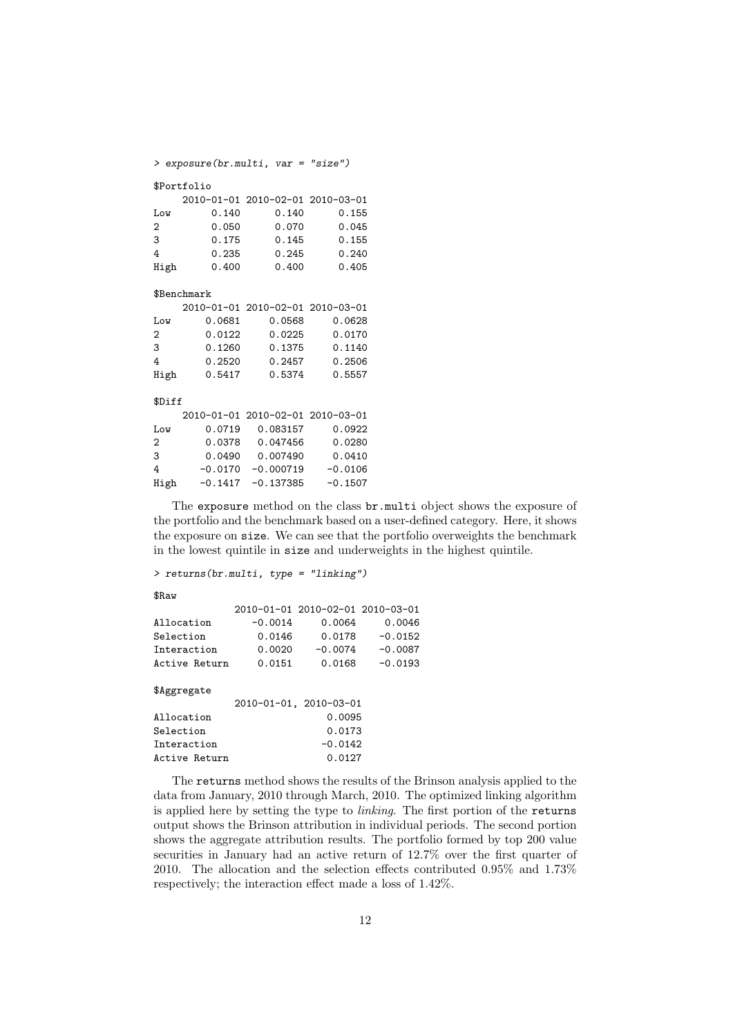> exposure(br.multi, var = "size")

#### \$Portfolio

|      |       | 2010-01-01 2010-02-01 2010-03-01 |       |
|------|-------|----------------------------------|-------|
| Low  | 0.140 | 0.140                            | 0.155 |
| 2    | 0.050 | 0.070                            | 0.045 |
| 3    | 0.175 | 0.145                            | 0.155 |
| 4    | 0.235 | 0.245                            | 0.240 |
| High | 0.400 | 0.400                            | 0.405 |

#### \$Benchmark

|      |        | 2010-01-01 2010-02-01 2010-03-01 |        |
|------|--------|----------------------------------|--------|
| Low  | 0.0681 | 0.0568                           | 0.0628 |
| 2    | 0.0122 | 0.0225                           | 0.0170 |
| 3    | 0.1260 | 0.1375                           | 0.1140 |
| 4    | 0.2520 | 0.2457                           | 0.2506 |
| High | 0.5417 | 0.5374                           | 0.5557 |

### \$Diff

| 0.083157<br>0.0719<br>Low<br>0.047456<br>0.0378<br>2<br>0.007490<br>0.0490<br>3<br>$-0.000719$<br>$-0.0170$<br>4<br>$-0.1417 - 0.137385$<br>High |  | 2010-01-01 2010-02-01 2010-03-01 |           |
|--------------------------------------------------------------------------------------------------------------------------------------------------|--|----------------------------------|-----------|
|                                                                                                                                                  |  |                                  | 0.0922    |
|                                                                                                                                                  |  |                                  | 0.0280    |
|                                                                                                                                                  |  |                                  | 0.0410    |
|                                                                                                                                                  |  |                                  | $-0.0106$ |
|                                                                                                                                                  |  |                                  | $-0.1507$ |

The exposure method on the class br.multi object shows the exposure of the portfolio and the benchmark based on a user-defined category. Here, it shows the exposure on size. We can see that the portfolio overweights the benchmark in the lowest quintile in size and underweights in the highest quintile.

> returns(br.multi, type = "linking")

#### \$Raw

|               | 2010-01-01 2010-02-01 2010-03-01 |           |           |
|---------------|----------------------------------|-----------|-----------|
| Allocation    | $-0.0014$                        | 0.0064    | 0.0046    |
| Selection     | 0.0146                           | 0.0178    | $-0.0152$ |
| Interaction   | 0.0020                           | $-0.0074$ | $-0.0087$ |
| Active Return | 0.0151                           | 0.0168    | $-0.0193$ |
| \$Aggregate   |                                  |           |           |
|               | 2010-01-01, 2010-03-01           |           |           |

|               |  | ZOIO OI OI, ZOIO OJ OI |
|---------------|--|------------------------|
| Allocation    |  | 0.0095                 |
| Selection     |  | 0.0173                 |
| Interaction   |  | $-0.0142$              |
| Active Return |  | 0.0127                 |

The returns method shows the results of the Brinson analysis applied to the data from January, 2010 through March, 2010. The optimized linking algorithm is applied here by setting the type to linking. The first portion of the returns output shows the Brinson attribution in individual periods. The second portion shows the aggregate attribution results. The portfolio formed by top 200 value securities in January had an active return of 12.7% over the first quarter of 2010. The allocation and the selection effects contributed 0.95% and 1.73% respectively; the interaction effect made a loss of 1.42%.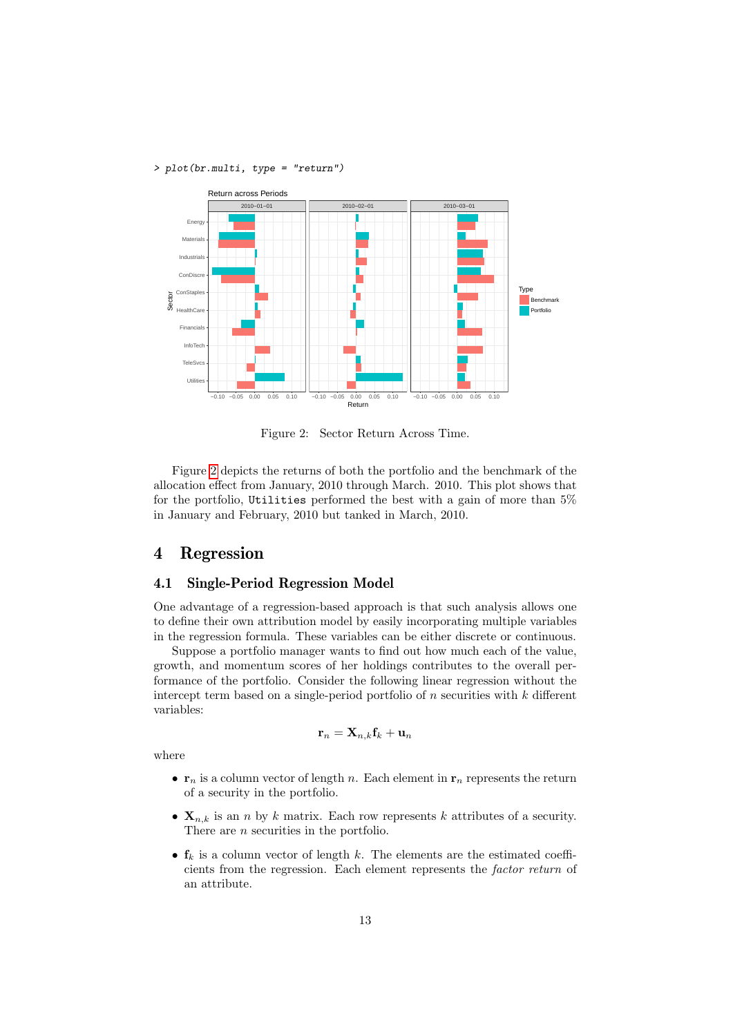> plot(br.multi, type = "return")



<span id="page-12-0"></span>Figure 2: Sector Return Across Time.

Figure [2](#page-12-0) depicts the returns of both the portfolio and the benchmark of the allocation effect from January, 2010 through March. 2010. This plot shows that for the portfolio, Utilities performed the best with a gain of more than 5% in January and February, 2010 but tanked in March, 2010.

## 4 Regression

## 4.1 Single-Period Regression Model

One advantage of a regression-based approach is that such analysis allows one to define their own attribution model by easily incorporating multiple variables in the regression formula. These variables can be either discrete or continuous.

Suppose a portfolio manager wants to find out how much each of the value, growth, and momentum scores of her holdings contributes to the overall performance of the portfolio. Consider the following linear regression without the intercept term based on a single-period portfolio of  $n$  securities with  $k$  different variables:

$$
\mathbf{r}_n = \mathbf{X}_{n,k} \mathbf{f}_k + \mathbf{u}_n
$$

where

- $\mathbf{r}_n$  is a column vector of length n. Each element in  $\mathbf{r}_n$  represents the return of a security in the portfolio.
- $X_{n,k}$  is an n by k matrix. Each row represents k attributes of a security. There are *n* securities in the portfolio.
- $f_k$  is a column vector of length k. The elements are the estimated coefficients from the regression. Each element represents the factor return of an attribute.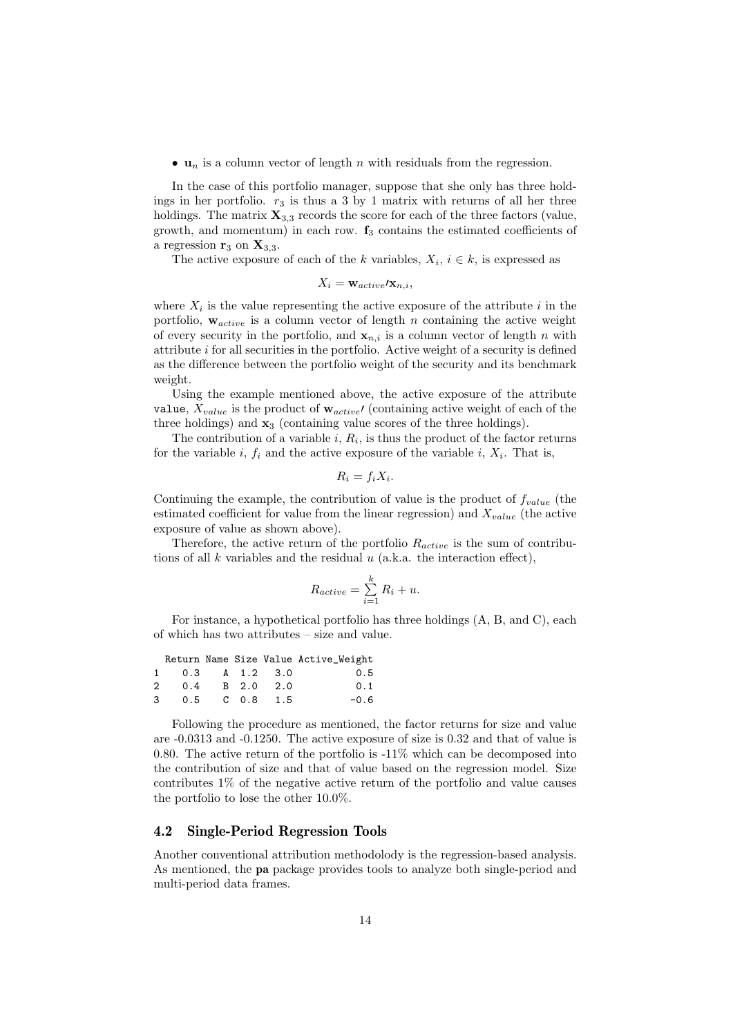•  $u_n$  is a column vector of length n with residuals from the regression.

In the case of this portfolio manager, suppose that she only has three holdings in her portfolio.  $r_3$  is thus a 3 by 1 matrix with returns of all her three holdings. The matrix  $\mathbf{X}_{3,3}$  records the score for each of the three factors (value, growth, and momentum) in each row.  $f_3$  contains the estimated coefficients of a regression  $\mathbf{r}_3$  on  $\mathbf{X}_{3,3}$ .

The active exposure of each of the k variables,  $X_i, i \in k$ , is expressed as

$$
X_i = \mathbf{w}_{active} / \mathbf{x}_{n,i},
$$

where  $X_i$  is the value representing the active exposure of the attribute i in the portfolio,  $w_{active}$  is a column vector of length n containing the active weight of every security in the portfolio, and  $\mathbf{x}_{n,i}$  is a column vector of length n with attribute  $i$  for all securities in the portfolio. Active weight of a security is defined as the difference between the portfolio weight of the security and its benchmark weight.

Using the example mentioned above, the active exposure of the attribute value,  $X_{value}$  is the product of  $\mathbf{w}_{active}$  (containing active weight of each of the three holdings) and  $x_3$  (containing value scores of the three holdings).

The contribution of a variable  $i, R_i$ , is thus the product of the factor returns for the variable i,  $f_i$  and the active exposure of the variable i,  $X_i$ . That is,

$$
R_i = f_i X_i.
$$

Continuing the example, the contribution of value is the product of  $f_{value}$  (the estimated coefficient for value from the linear regression) and  $X_{value}$  (the active exposure of value as shown above).

Therefore, the active return of the portfolio  $R_{active}$  is the sum of contributions of all  $k$  variables and the residual  $u$  (a.k.a. the interaction effect),

$$
R_{active} = \sum_{i=1}^{k} R_i + u.
$$

For instance, a hypothetical portfolio has three holdings (A, B, and C), each of which has two attributes – size and value.

|                            |  | Return Name Size Value Active_Weight |
|----------------------------|--|--------------------------------------|
| $1 \t 0.3 \t A 1.2 \t 3.0$ |  | 0.5                                  |
| 2 0.4 B 2.0 2.0            |  | 0.1                                  |
| 3 0.5 C 0.8 1.5            |  | $-0.6$                               |

Following the procedure as mentioned, the factor returns for size and value are -0.0313 and -0.1250. The active exposure of size is 0.32 and that of value is 0.80. The active return of the portfolio is -11% which can be decomposed into the contribution of size and that of value based on the regression model. Size contributes 1% of the negative active return of the portfolio and value causes the portfolio to lose the other 10.0%.

## 4.2 Single-Period Regression Tools

Another conventional attribution methodolody is the regression-based analysis. As mentioned, the pa package provides tools to analyze both single-period and multi-period data frames.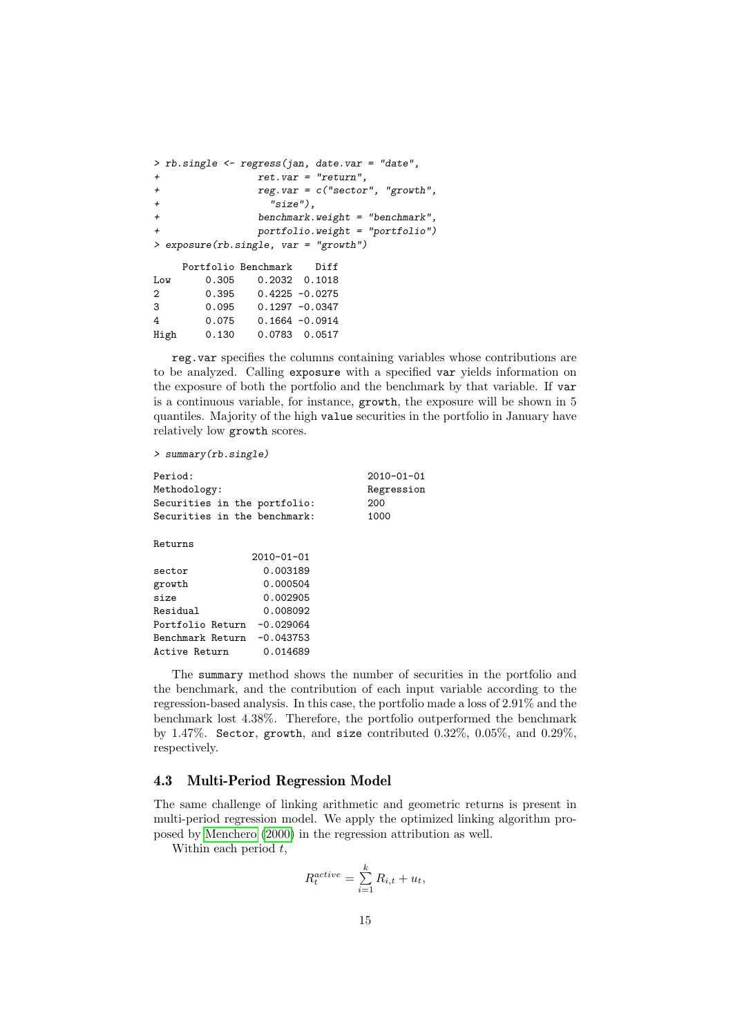```
> rb.single <- regress(jan, date.var = "date",
             ret. var = "return",+ reg.var = c("sector", "growth",
+ "size"),
+ benchmark.weight = "benchmark",
+ portfolio.weight = "portfolio")
> exposure(rb.single, var = "growth")
   Portfolio Benchmark Diff
Low 0.305 0.2032 0.1018
2 0.395 0.4225 -0.0275
3 0.095 0.1297 -0.0347
4 0.075 0.1664 -0.0914
High 0.130 0.0783 0.0517
```
reg.var specifies the columns containing variables whose contributions are to be analyzed. Calling exposure with a specified var yields information on the exposure of both the portfolio and the benchmark by that variable. If var is a continuous variable, for instance, growth, the exposure will be shown in 5 quantiles. Majority of the high value securities in the portfolio in January have relatively low growth scores.

> summary(rb.single)

| Period:                      |                  | $2010 - 01 - 01$ |
|------------------------------|------------------|------------------|
| Methodology:                 |                  | Regression       |
| Securities in the portfolio: |                  | 200              |
| Securities in the benchmark: |                  | 1000             |
| Returns                      |                  |                  |
|                              | $2010 - 01 - 01$ |                  |
| sector                       | 0.003189         |                  |
| growth                       | 0.000504         |                  |
| size                         | 0.002905         |                  |
| Residual                     | 0.008092         |                  |
| Portfolio Return             | $-0.029064$      |                  |
| Benchmark Return             | $-0.043753$      |                  |
| Active Return                | 0.014689         |                  |
|                              |                  |                  |

The summary method shows the number of securities in the portfolio and the benchmark, and the contribution of each input variable according to the regression-based analysis. In this case, the portfolio made a loss of 2.91% and the benchmark lost 4.38%. Therefore, the portfolio outperformed the benchmark by 1.47%. Sector, growth, and size contributed 0.32%, 0.05%, and 0.29%, respectively.

## 4.3 Multi-Period Regression Model

The same challenge of linking arithmetic and geometric returns is present in multi-period regression model. We apply the optimized linking algorithm proposed by [Menchero](#page-21-10) [\(2000\)](#page-21-10) in the regression attribution as well.

Within each period  $t$ ,

$$
R_t^{active} = \sum_{i=1}^k R_{i,t} + u_t,
$$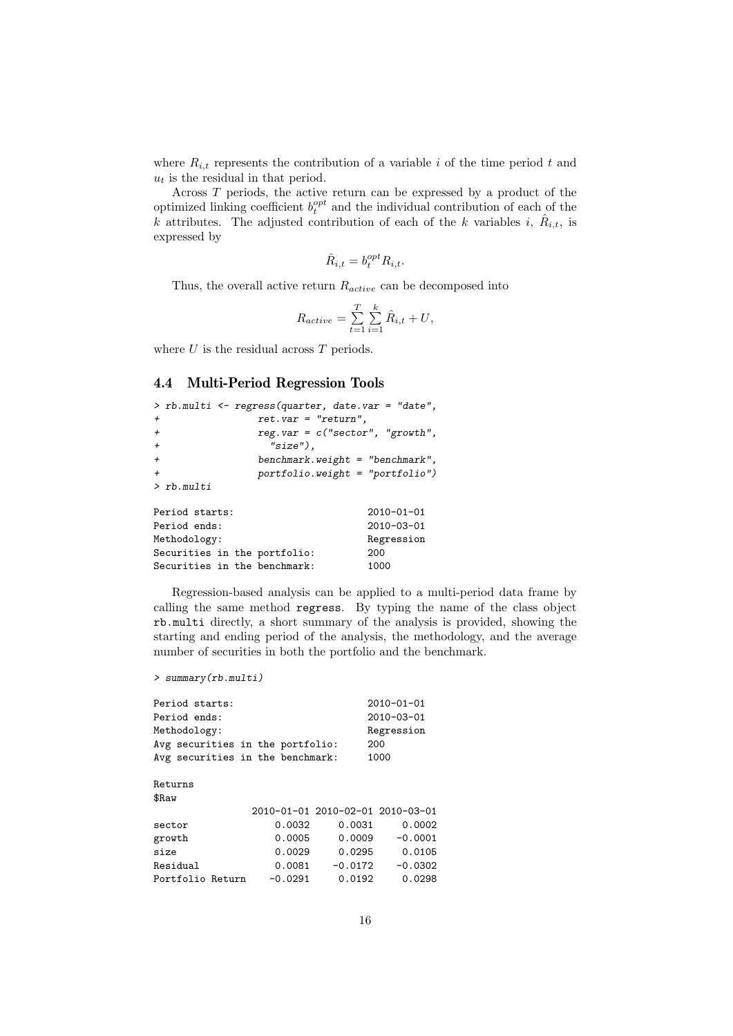where  $R_{i,t}$  represents the contribution of a variable i of the time period t and  $\boldsymbol{u}_t$  is the residual in that period.

Across T periods, the active return can be expressed by a product of the optimized linking coefficient  $b_t^{opt}$  and the individual contribution of each of the k attributes. The adjusted contribution of each of the k variables i,  $\hat{R}_{i,t}$ , is expressed by

$$
\hat{R}_{i,t} = b_t^{opt} R_{i,t}.
$$

Thus, the overall active return  $R_{active}$  can be decomposed into

$$
R_{active} = \sum_{t=1}^T \sum_{i=1}^k \hat{R}_{i,t} + U,
$$

where  $U$  is the residual across  $T$  periods.

## 4.4 Multi-Period Regression Tools

```
> rb.multi <- regress(quarter, date.var = "date",
            ret. var = "return",+ reg.var = c("sector", "growth",
+ "size"),
+ benchmark.weight = "benchmark",
+ portfolio.weight = "portfolio")
> rb.multi
Period starts: 2010-01-01
Period ends: 2010-03-01
Methodology: Regression
Securities in the portfolio: 200
Securities in the benchmark: 1000
```
Regression-based analysis can be applied to a multi-period data frame by calling the same method regress. By typing the name of the class object rb.multi directly, a short summary of the analysis is provided, showing the starting and ending period of the analysis, the methodology, and the average number of securities in both the portfolio and the benchmark.

```
> summary(rb.multi)
```

| Period starts:<br>Period ends:   |           |                                  | $2010 - 01 - 01$<br>$2010 - 03 - 01$ |
|----------------------------------|-----------|----------------------------------|--------------------------------------|
| Methodology:                     |           |                                  | Regression                           |
| Avg securities in the portfolio: |           | 200                              |                                      |
| Avg securities in the benchmark: |           |                                  | 1000                                 |
| Returns                          |           |                                  |                                      |
| \$Raw                            |           |                                  |                                      |
|                                  |           | 2010-01-01 2010-02-01 2010-03-01 |                                      |
| sector                           | 0.0032    | 0.0031                           | 0.0002                               |
| growth                           | 0.0005    | 0.0009                           | $-0.0001$                            |
| size                             | 0.0029    | 0.0295                           | 0.0105                               |
| Residual                         |           | $0.0081 - 0.0172$                | $-0.0302$                            |
| Portfolio Return                 | $-0.0291$ | 0.0192                           | 0.0298                               |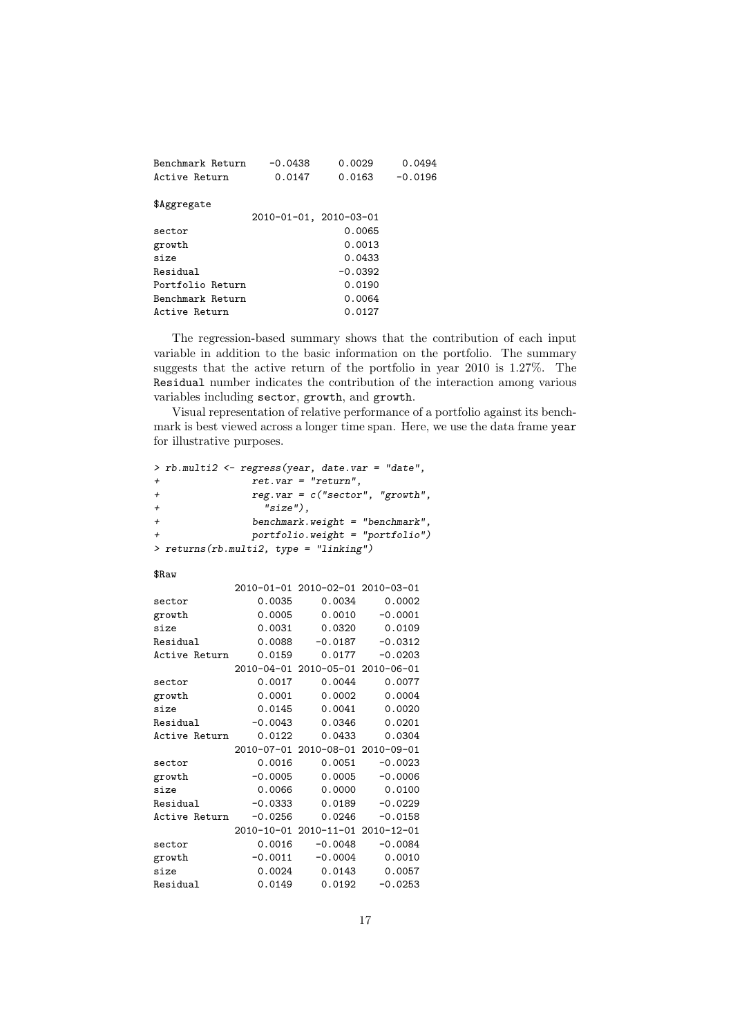| Benchmark Return<br>Active Return | $-0.0438$<br>0.0147    | 0.0029<br>0.0163 | 0.0494<br>$-0.0196$ |
|-----------------------------------|------------------------|------------------|---------------------|
| \$Aggregate                       |                        |                  |                     |
|                                   | 2010-01-01, 2010-03-01 |                  |                     |
| sector                            |                        | 0.0065           |                     |
| growth                            |                        | 0.0013           |                     |
| size                              |                        | 0.0433           |                     |
| Residual                          |                        | $-0.0392$        |                     |
| Portfolio Return                  |                        | 0.0190           |                     |
| Benchmark Return                  |                        | 0.0064           |                     |
| Active Return                     |                        | 0.0127           |                     |
|                                   |                        |                  |                     |

The regression-based summary shows that the contribution of each input variable in addition to the basic information on the portfolio. The summary suggests that the active return of the portfolio in year 2010 is 1.27%. The Residual number indicates the contribution of the interaction among various variables including sector, growth, and growth.

Visual representation of relative performance of a portfolio against its benchmark is best viewed across a longer time span. Here, we use the data frame year for illustrative purposes.

```
> rb.multi2 <- regress(year, date.var = "date",
+ ret.var = "return",
+ reg.var = c("sector", "growth",
+ "size"),
+ benchmark.weight = "benchmark",
              portfolio. weight = "portfolio"> returns(rb.multi2, type = "linking")
$Raw
           2010-01-01 2010-02-01 2010-03-01
sector 0.0035 0.0034 0.0002
growth 0.0005 0.0010 -0.0001
size 0.0031 0.0320 0.0109
Residual 0.0088 -0.0187 -0.0312
Active Return 0.0159 0.0177 -0.0203
           2010-04-01 2010-05-01 2010-06-01
sector 0.0017 0.0044 0.0077
growth 0.0001 0.0002 0.0004<br>size 0.0145 0.0041 0.0020size 0.0145 0.0041
Residual -0.0043 0.0346 0.0201
Active Return 0.0122 0.0433 0.0304
           2010-07-01 2010-08-01 2010-09-01
sector 0.0016 0.0051 -0.0023
growth -0.0005 0.0005 -0.0006
size 0.0066 0.0000 0.0100
Residual -0.0333 0.0189 -0.0229<br>Active Return -0.0256 0.0246 -0.0158
Active Return
           2010-10-01 2010-11-01 2010-12-01
sector 0.0016 -0.0048 -0.0084
growth -0.0011 -0.0004 0.0010<br>size 0.0024 0.0143 0.0057
size 0.0024 0.0143 0.0057<br>Residual 0.0149 0.0192 -0.0253
Residual
```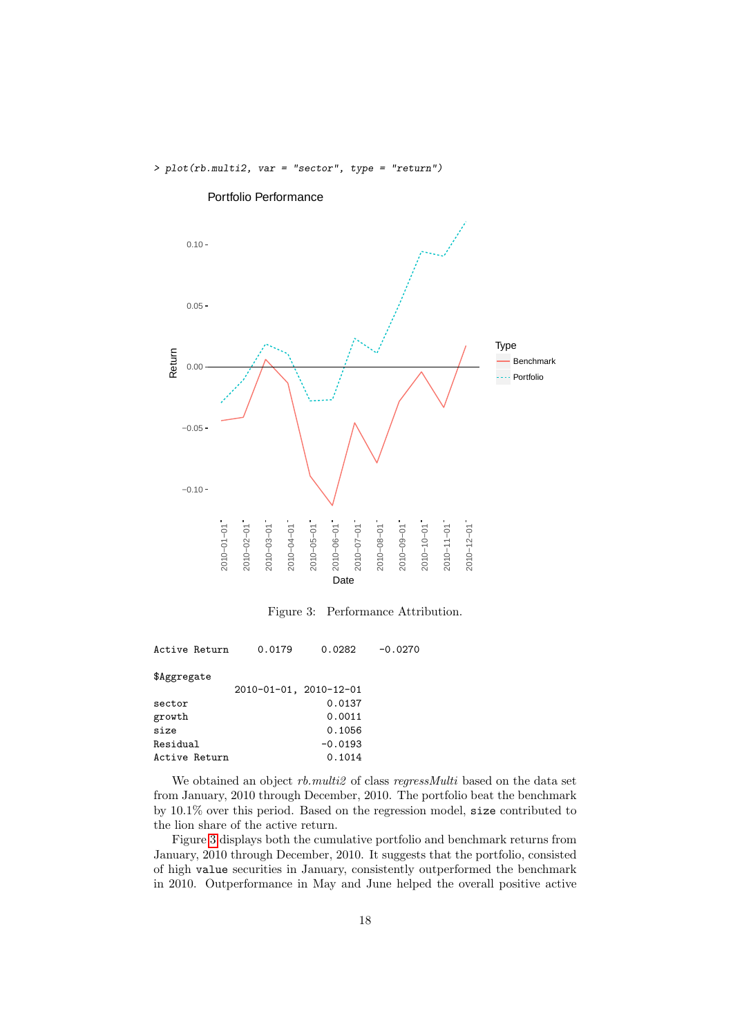> plot(rb.multi2, var = "sector", type = "return")



Portfolio Performance

<span id="page-17-0"></span>Figure 3: Performance Attribution.

| Active Return | 0.0179                 | 0.0282    | $-0.0270$ |
|---------------|------------------------|-----------|-----------|
| \$Aggregate   |                        |           |           |
|               | 2010-01-01, 2010-12-01 |           |           |
| sector        |                        | 0.0137    |           |
| growth        |                        | 0.0011    |           |
| size          |                        | 0.1056    |           |
| Residual      |                        | $-0.0193$ |           |
| Active Return |                        | 0.1014    |           |
|               |                        |           |           |

We obtained an object  $rb.multi2$  of class regressMulti based on the data set from January, 2010 through December, 2010. The portfolio beat the benchmark by 10.1% over this period. Based on the regression model, size contributed to the lion share of the active return.

Figure [3](#page-17-0) displays both the cumulative portfolio and benchmark returns from January, 2010 through December, 2010. It suggests that the portfolio, consisted of high value securities in January, consistently outperformed the benchmark in 2010. Outperformance in May and June helped the overall positive active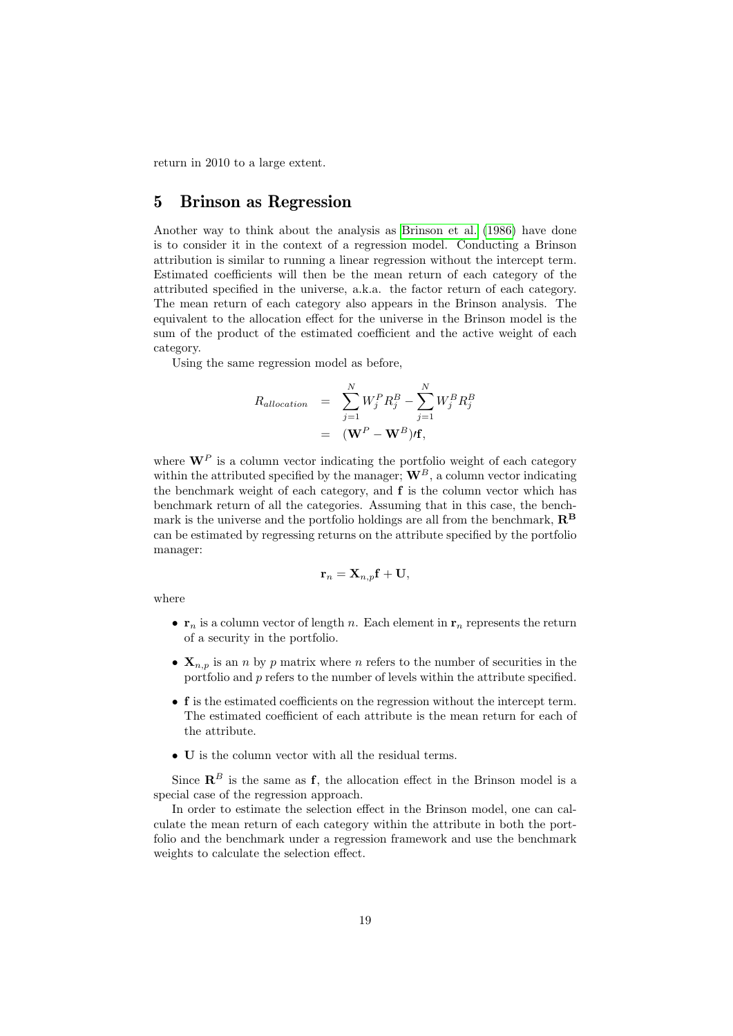return in 2010 to a large extent.

## 5 Brinson as Regression

Another way to think about the analysis as [Brinson et al.](#page-21-2) [\(1986\)](#page-21-2) have done is to consider it in the context of a regression model. Conducting a Brinson attribution is similar to running a linear regression without the intercept term. Estimated coefficients will then be the mean return of each category of the attributed specified in the universe, a.k.a. the factor return of each category. The mean return of each category also appears in the Brinson analysis. The equivalent to the allocation effect for the universe in the Brinson model is the sum of the product of the estimated coefficient and the active weight of each category.

Using the same regression model as before,

$$
R_{allocation} = \sum_{j=1}^{N} W_j^P R_j^B - \sum_{j=1}^{N} W_j^B R_j^B
$$
  
= 
$$
(\mathbf{W}^P - \mathbf{W}^B) \prime \mathbf{f},
$$

where  $\mathbf{W}^P$  is a column vector indicating the portfolio weight of each category within the attributed specified by the manager;  $\mathbf{W}^B$ , a column vector indicating the benchmark weight of each category, and  $f$  is the column vector which has benchmark return of all the categories. Assuming that in this case, the benchmark is the universe and the portfolio holdings are all from the benchmark,  $\mathbb{R}^{\mathbb{B}}$ can be estimated by regressing returns on the attribute specified by the portfolio manager:

$$
\mathbf{r}_n = \mathbf{X}_{n,p}\mathbf{f} + \mathbf{U},
$$

where

- $\mathbf{r}_n$  is a column vector of length n. Each element in  $\mathbf{r}_n$  represents the return of a security in the portfolio.
- $X_{n,p}$  is an n by p matrix where n refers to the number of securities in the portfolio and p refers to the number of levels within the attribute specified.
- f is the estimated coefficients on the regression without the intercept term. The estimated coefficient of each attribute is the mean return for each of the attribute.
- U is the column vector with all the residual terms.

Since  $\mathbb{R}^B$  is the same as f, the allocation effect in the Brinson model is a special case of the regression approach.

In order to estimate the selection effect in the Brinson model, one can calculate the mean return of each category within the attribute in both the portfolio and the benchmark under a regression framework and use the benchmark weights to calculate the selection effect.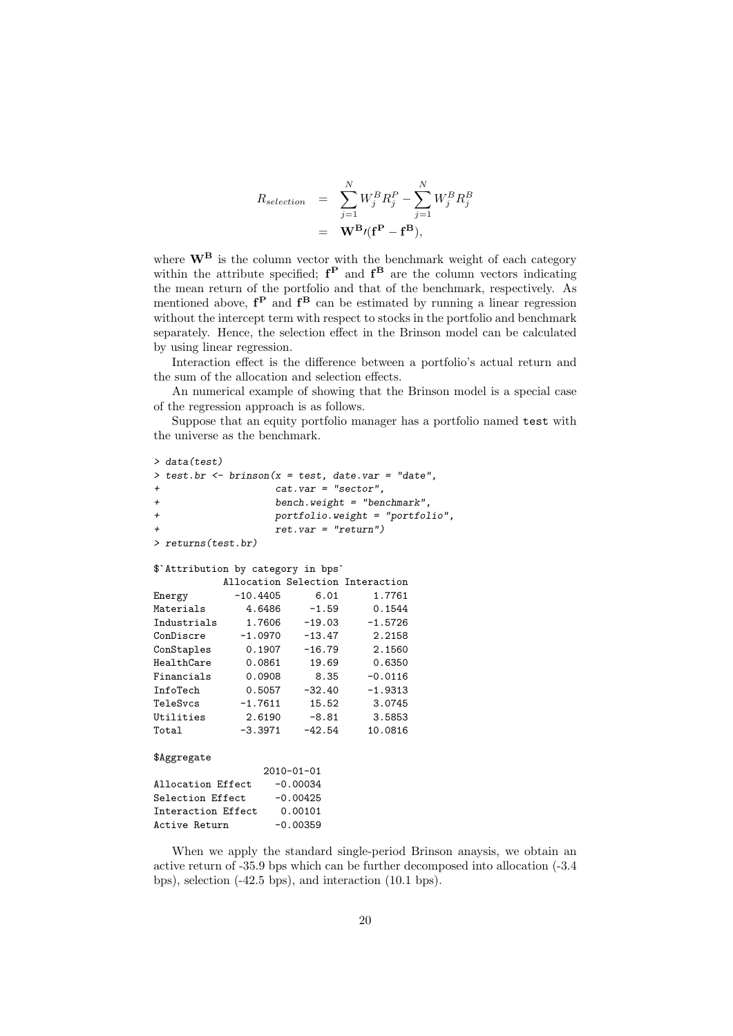$$
R_{selection} = \sum_{j=1}^{N} W_j^B R_j^P - \sum_{j=1}^{N} W_j^B R_j^B
$$
  
=  $\mathbf{W}^B \prime(\mathbf{f}^P - \mathbf{f}^B),$ 

where  $\mathbf{W}^{\mathbf{B}}$  is the column vector with the benchmark weight of each category within the attribute specified;  $f^P$  and  $f^B$  are the column vectors indicating the mean return of the portfolio and that of the benchmark, respectively. As mentioned above,  $f^P$  and  $f^B$  can be estimated by running a linear regression without the intercept term with respect to stocks in the portfolio and benchmark separately. Hence, the selection effect in the Brinson model can be calculated by using linear regression.

Interaction effect is the difference between a portfolio's actual return and the sum of the allocation and selection effects.

An numerical example of showing that the Brinson model is a special case of the regression approach is as follows.

Suppose that an equity portfolio manager has a portfolio named test with the universe as the benchmark.

```
> data(test)
> test.br <- brinson(x = test, date.var = "date",
                 cat.var = "sector",+ bench.weight = "benchmark",
+ portfolio.weight = "portfolio",
                 ret.var = "return")> returns(test.br)
$`Attribution by category in bps`
         Allocation Selection Interaction
Energy -10.4405 6.01 1.7761
Materials  4.6486 -1.59  0.1544<br>Industrials  1.7606 -19.03 -1.5726
Industrials 1.7606 -19.03 -1.5726
ConDiscre -1.0970 -13.47 2.2158
ConStaples 0.1907 -16.79 2.1560
HealthCare 0.0861 19.69 0.6350
Financials 0.0908 8.35 -0.0116
InfoTech 0.5057 -32.40 -1.9313
TeleSvcs -1.7611 15.52 3.0745
Utilities 2.6190 -8.81 3.5853
Total -3.3971 -42.54 10.0816
$Aggregate
               2010-01-01
Allocation Effect -0.00034
Selection Effect -0.00425
Interaction Effect 0.00101
Active Return -0.00359
```
When we apply the standard single-period Brinson anaysis, we obtain an active return of -35.9 bps which can be further decomposed into allocation (-3.4 bps), selection (-42.5 bps), and interaction (10.1 bps).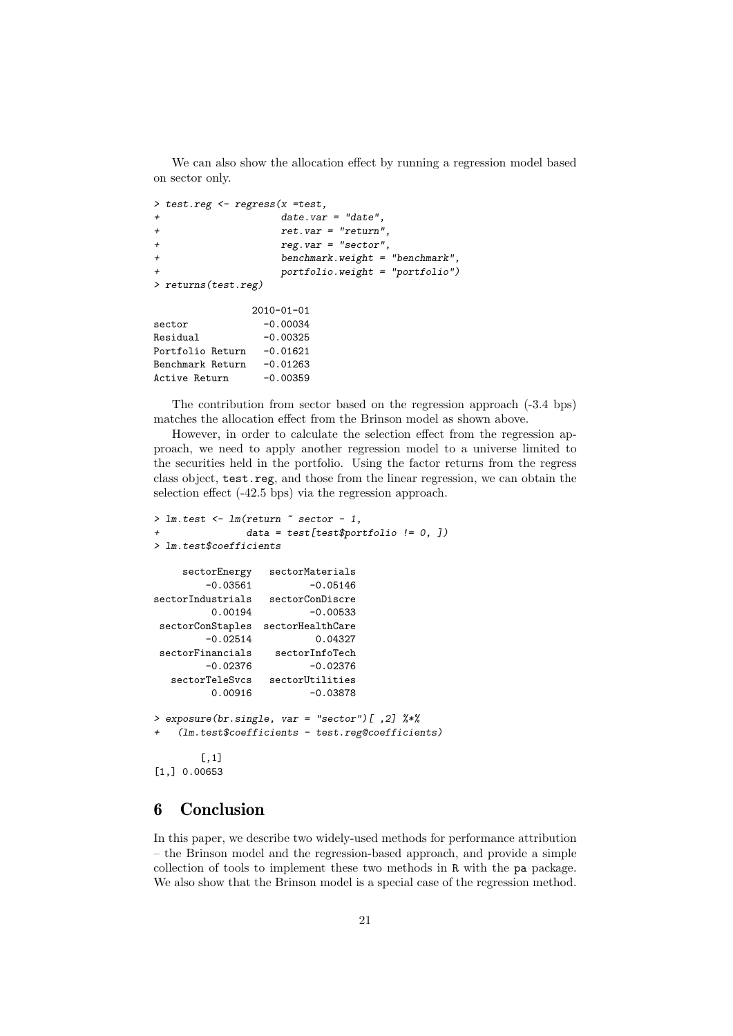We can also show the allocation effect by running a regression model based on sector only.

```
> test.reg <- regress(x =test,
+ date.var = "date",
+ ret.var = "return",
+ reg.var = "sector",
+ benchmark.weight = "benchmark",
                portfolio. weight = "portfolio")> returns(test.reg)
            2010-01-01
sector -0.00034Residual -0.00325
Portfolio Return -0.01621
Benchmark Return -0.01263
Active Return -0.00359
```
The contribution from sector based on the regression approach (-3.4 bps) matches the allocation effect from the Brinson model as shown above.

However, in order to calculate the selection effect from the regression approach, we need to apply another regression model to a universe limited to the securities held in the portfolio. Using the factor returns from the regress class object, test.reg, and those from the linear regression, we can obtain the selection effect (-42.5 bps) via the regression approach.

```
> lm.test <- lm(return \tilde{=} sector -1,
+ data = test[test$portfolio != 0, ])
> lm.test$coefficients
    sectorEnergy sectorMaterials
        -0.03561 -0.05146sectorIndustrials sectorConDiscre<br>0.00194 -0.00533
                         -0.00533sectorConStaples sectorHealthCare
        -0.02514 0.04327
sectorFinancials sectorInfoTech
        -0.02376 -0.02376sectorTeleSvcs sectorUtilities
         0.00916 -0.03878
> exposure(br.single, var = "sector")[ ,2] %*%
   (lm.test\coefficients - test.reg@coefficients)
       [,1]
[1,] 0.00653
```
## 6 Conclusion

In this paper, we describe two widely-used methods for performance attribution – the Brinson model and the regression-based approach, and provide a simple collection of tools to implement these two methods in R with the pa package. We also show that the Brinson model is a special case of the regression method.